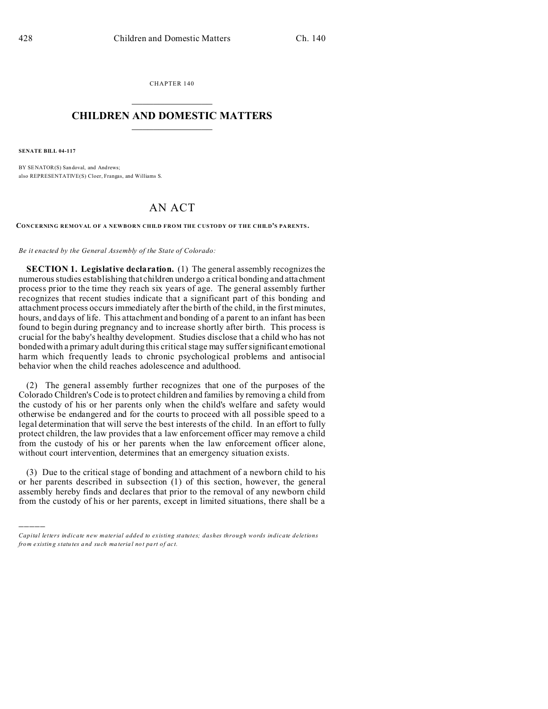CHAPTER 140  $\overline{\phantom{a}}$  , where  $\overline{\phantom{a}}$ 

## **CHILDREN AND DOMESTIC MATTERS**  $\_$   $\_$

**SENATE BILL 04-117**

)))))

BY SENATOR(S) San doval, and Andrews; also REPRESENTATIVE(S) Cloer, Frangas, and Williams S.

## AN ACT

**CONCERNING REMOVAL OF A NEWBORN CHILD FROM THE CUSTODY OF THE CHILD'S PA RENTS .**

*Be it enacted by the General Assembly of the State of Colorado:*

**SECTION 1. Legislative declaration.** (1) The general assembly recognizes the numerous studies establishing that children undergo a critical bonding and attachment process prior to the time they reach six years of age. The general assembly further recognizes that recent studies indicate that a significant part of this bonding and attachment process occurs immediately after the birth of the child, in the first minutes, hours, and days of life. This attachment and bonding of a parent to an infant has been found to begin during pregnancy and to increase shortly after birth. This process is crucial for the baby's healthy development. Studies disclose that a child who has not bonded with a primary adult during this critical stage may suffer significant emotional harm which frequently leads to chronic psychological problems and antisocial behavior when the child reaches adolescence and adulthood.

(2) The general assembly further recognizes that one of the purposes of the Colorado Children's Code is to protect children and families by removing a child from the custody of his or her parents only when the child's welfare and safety would otherwise be endangered and for the courts to proceed with all possible speed to a legal determination that will serve the best interests of the child. In an effort to fully protect children, the law provides that a law enforcement officer may remove a child from the custody of his or her parents when the law enforcement officer alone, without court intervention, determines that an emergency situation exists.

(3) Due to the critical stage of bonding and attachment of a newborn child to his or her parents described in subsection (1) of this section, however, the general assembly hereby finds and declares that prior to the removal of any newborn child from the custody of his or her parents, except in limited situations, there shall be a

*Capital letters indicate new material added to existing statutes; dashes through words indicate deletions from e xistin g statu tes a nd such ma teria l no t pa rt of ac t.*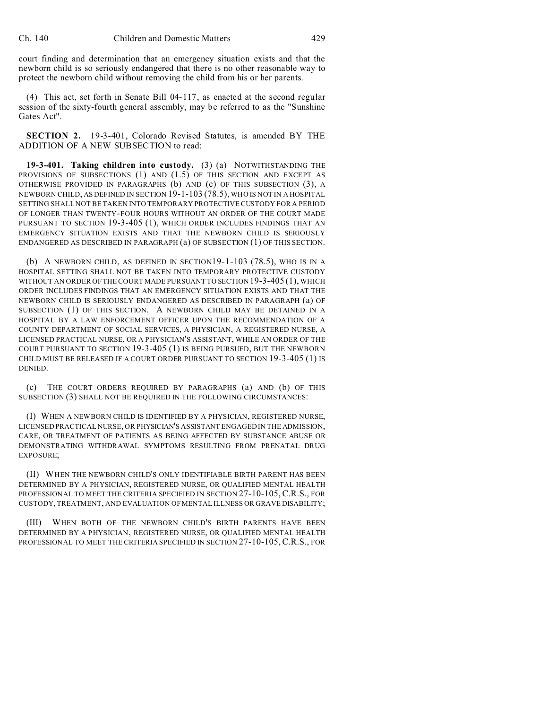court finding and determination that an emergency situation exists and that the newborn child is so seriously endangered that there is no other reasonable way to protect the newborn child without removing the child from his or her parents.

(4) This act, set forth in Senate Bill 04-117, as enacted at the second regular session of the sixty-fourth general assembly, may be referred to as the "Sunshine Gates Act".

**SECTION 2.** 19-3-401, Colorado Revised Statutes, is amended BY THE ADDITION OF A NEW SUBSECTION to read:

**19-3-401. Taking children into custody.** (3) (a) NOTWITHSTANDING THE PROVISIONS OF SUBSECTIONS (1) AND (1.5) OF THIS SECTION AND EXCEPT AS OTHERWISE PROVIDED IN PARAGRAPHS (b) AND (c) OF THIS SUBSECTION (3), A NEWBORN CHILD, AS DEFINED IN SECTION 19-1-103 (78.5), WHO IS NOT IN A HOSPITAL SETTING SHALL NOT BE TAKEN INTO TEMPORARY PROTECTIVE CUSTODY FOR A PERIOD OF LONGER THAN TWENTY-FOUR HOURS WITHOUT AN ORDER OF THE COURT MADE PURSUANT TO SECTION 19-3-405 (1), WHICH ORDER INCLUDES FINDINGS THAT AN EMERGENCY SITUATION EXISTS AND THAT THE NEWBORN CHILD IS SERIOUSLY ENDANGERED AS DESCRIBED IN PARAGRAPH (a) OF SUBSECTION (1) OF THIS SECTION.

(b) A NEWBORN CHILD, AS DEFINED IN SECTION19-1-103 (78.5), WHO IS IN A HOSPITAL SETTING SHALL NOT BE TAKEN INTO TEMPORARY PROTECTIVE CUSTODY WITHOUT AN ORDER OF THE COURT MADE PURSUANT TO SECTION 19-3-405 (1), WHICH ORDER INCLUDES FINDINGS THAT AN EMERGENCY SITUATION EXISTS AND THAT THE NEWBORN CHILD IS SERIOUSLY ENDANGERED AS DESCRIBED IN PARAGRAPH (a) OF SUBSECTION (1) OF THIS SECTION. A NEWBORN CHILD MAY BE DETAINED IN A HOSPITAL BY A LAW ENFORCEMENT OFFICER UPON THE RECOMMENDATION OF A COUNTY DEPARTMENT OF SOCIAL SERVICES, A PHYSICIAN, A REGISTERED NURSE, A LICENSED PRACTICAL NURSE, OR A PHYSICIAN'S ASSISTANT, WHILE AN ORDER OF THE COURT PURSUANT TO SECTION 19-3-405 (1) IS BEING PURSUED, BUT THE NEWBORN CHILD MUST BE RELEASED IF A COURT ORDER PURSUANT TO SECTION 19-3-405 (1) IS DENIED.

(c) THE COURT ORDERS REQUIRED BY PARAGRAPHS (a) AND (b) OF THIS SUBSECTION (3) SHALL NOT BE REQUIRED IN THE FOLLOWING CIRCUMSTANCES:

(I) WHEN A NEWBORN CHILD IS IDENTIFIED BY A PHYSICIAN, REGISTERED NURSE, LICENSED PRACTICAL NURSE, OR PHYSICIAN'S ASSISTANT ENGAGED IN THE ADMISSION, CARE, OR TREATMENT OF PATIENTS AS BEING AFFECTED BY SUBSTANCE ABUSE OR DEMONSTRATING WITHDRAWAL SYMPTOMS RESULTING FROM PRENATAL DRUG EXPOSURE;

(II) WHEN THE NEWBORN CHILD'S ONLY IDENTIFIABLE BIRTH PARENT HAS BEEN DETERMINED BY A PHYSICIAN, REGISTERED NURSE, OR QUALIFIED MENTAL HEALTH PROFESSIONAL TO MEET THE CRITERIA SPECIFIED IN SECTION 27-10-105, C.R.S., FOR CUSTODY, TREATMENT, AND EVALUATION OF MENTAL ILLNESS OR GRAVE DISABILITY;

(III) WHEN BOTH OF THE NEWBORN CHILD'S BIRTH PARENTS HAVE BEEN DETERMINED BY A PHYSICIAN, REGISTERED NURSE, OR QUALIFIED MENTAL HEALTH PROFESSIONAL TO MEET THE CRITERIA SPECIFIED IN SECTION 27-10-105, C.R.S., FOR